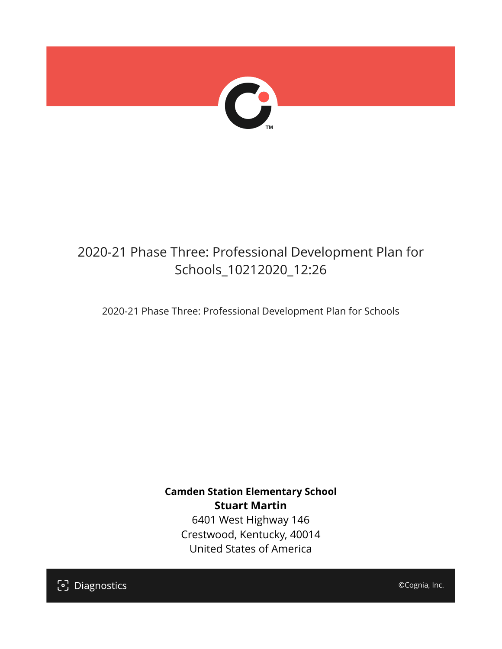

## 2020-21 Phase Three: Professional Development Plan for Schools\_10212020\_12:26

2020-21 Phase Three: Professional Development Plan for Schools

**Camden Station Elementary School Stuart Martin** 6401 West Highway 146 Crestwood, Kentucky, 40014

United States of America

[၁] Diagnostics

©Cognia, Inc.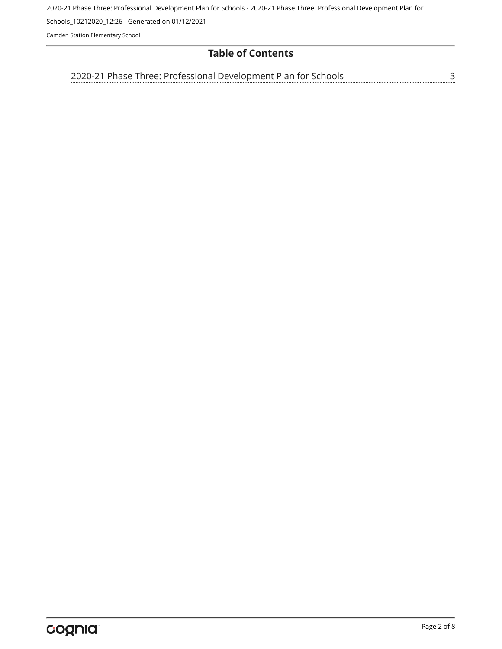2020-21 Phase Three: Professional Development Plan for Schools - 2020-21 Phase Three: Professional Development Plan for

Schools\_10212020\_12:26 - Generated on 01/12/2021

Camden Station Elementary School

## **Table of Contents**

[2020-21 Phase Three: Professional Development Plan for Schools](#page-2-0)[3](#page-2-0)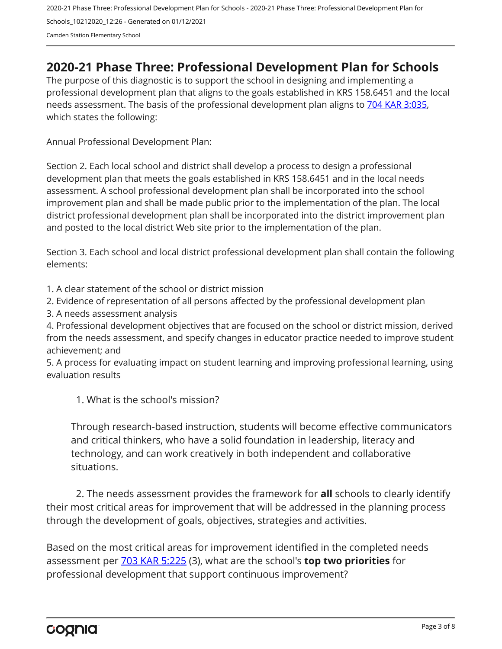2020-21 Phase Three: Professional Development Plan for Schools - 2020-21 Phase Three: Professional Development Plan for Schools\_10212020\_12:26 - Generated on 01/12/2021 Camden Station Elementary School

## <span id="page-2-0"></span>**2020-21 Phase Three: Professional Development Plan for Schools**

The purpose of this diagnostic is to support the school in designing and implementing a professional development plan that aligns to the goals established in KRS 158.6451 and the local needs assessment. The basis of the professional development plan aligns to [704 KAR 3:035,](https://apps.legislature.ky.gov/Law/kar/704/003/035.pdf) which states the following:

Annual Professional Development Plan:

Section 2. Each local school and district shall develop a process to design a professional development plan that meets the goals established in KRS 158.6451 and in the local needs assessment. A school professional development plan shall be incorporated into the school improvement plan and shall be made public prior to the implementation of the plan. The local district professional development plan shall be incorporated into the district improvement plan and posted to the local district Web site prior to the implementation of the plan.

Section 3. Each school and local district professional development plan shall contain the following elements:

1. A clear statement of the school or district mission

2. Evidence of representation of all persons affected by the professional development plan

3. A needs assessment analysis

4. Professional development objectives that are focused on the school or district mission, derived from the needs assessment, and specify changes in educator practice needed to improve student achievement; and

5. A process for evaluating impact on student learning and improving professional learning, using evaluation results

1. What is the school's mission?

Through research-based instruction, students will become effective communicators and critical thinkers, who have a solid foundation in leadership, literacy and technology, and can work creatively in both independent and collaborative situations.

2. The needs assessment provides the framework for **all** schools to clearly identify their most critical areas for improvement that will be addressed in the planning process through the development of goals, objectives, strategies and activities.

Based on the most critical areas for improvement identified in the completed needs assessment per [703 KAR 5:225](https://apps.legislature.ky.gov/law/kar/703/005/225.pdf) (3), what are the school's **top two priorities** for professional development that support continuous improvement?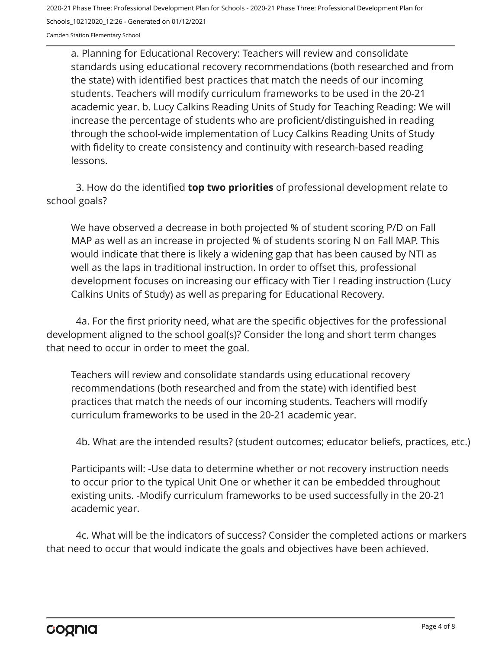Camden Station Elementary School

a. Planning for Educational Recovery: Teachers will review and consolidate standards using educational recovery recommendations (both researched and from the state) with identified best practices that match the needs of our incoming students. Teachers will modify curriculum frameworks to be used in the 20-21 academic year. b. Lucy Calkins Reading Units of Study for Teaching Reading: We will increase the percentage of students who are proficient/distinguished in reading through the school-wide implementation of Lucy Calkins Reading Units of Study with fidelity to create consistency and continuity with research-based reading lessons.

3. How do the identified **top two priorities** of professional development relate to school goals?

We have observed a decrease in both projected % of student scoring P/D on Fall MAP as well as an increase in projected % of students scoring N on Fall MAP. This would indicate that there is likely a widening gap that has been caused by NTI as well as the laps in traditional instruction. In order to offset this, professional development focuses on increasing our efficacy with Tier I reading instruction (Lucy Calkins Units of Study) as well as preparing for Educational Recovery.

4a. For the first priority need, what are the specific objectives for the professional development aligned to the school goal(s)? Consider the long and short term changes that need to occur in order to meet the goal.

Teachers will review and consolidate standards using educational recovery recommendations (both researched and from the state) with identified best practices that match the needs of our incoming students. Teachers will modify curriculum frameworks to be used in the 20-21 academic year.

4b. What are the intended results? (student outcomes; educator beliefs, practices, etc.)

Participants will: -Use data to determine whether or not recovery instruction needs to occur prior to the typical Unit One or whether it can be embedded throughout existing units. -Modify curriculum frameworks to be used successfully in the 20-21 academic year.

4c. What will be the indicators of success? Consider the completed actions or markers that need to occur that would indicate the goals and objectives have been achieved.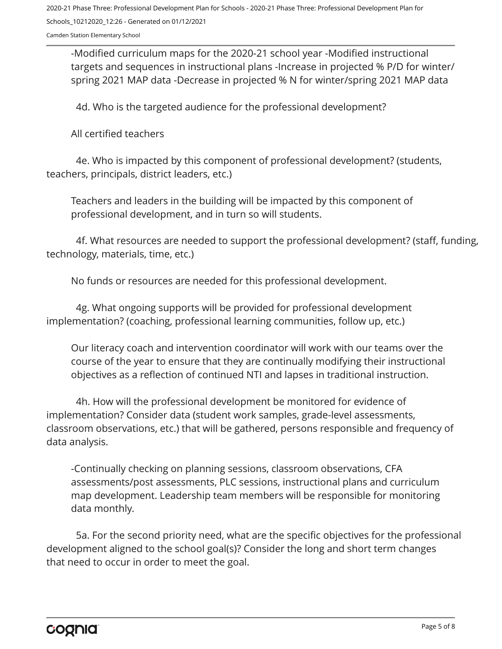Camden Station Elementary School

-Modified curriculum maps for the 2020-21 school year -Modified instructional targets and sequences in instructional plans -Increase in projected % P/D for winter/ spring 2021 MAP data -Decrease in projected % N for winter/spring 2021 MAP data

4d. Who is the targeted audience for the professional development?

All certified teachers

4e. Who is impacted by this component of professional development? (students, teachers, principals, district leaders, etc.)

Teachers and leaders in the building will be impacted by this component of professional development, and in turn so will students.

4f. What resources are needed to support the professional development? (staff, funding, technology, materials, time, etc.)

No funds or resources are needed for this professional development.

4g. What ongoing supports will be provided for professional development implementation? (coaching, professional learning communities, follow up, etc.)

Our literacy coach and intervention coordinator will work with our teams over the course of the year to ensure that they are continually modifying their instructional objectives as a reflection of continued NTI and lapses in traditional instruction.

4h. How will the professional development be monitored for evidence of implementation? Consider data (student work samples, grade-level assessments, classroom observations, etc.) that will be gathered, persons responsible and frequency of data analysis.

-Continually checking on planning sessions, classroom observations, CFA assessments/post assessments, PLC sessions, instructional plans and curriculum map development. Leadership team members will be responsible for monitoring data monthly.

5a. For the second priority need, what are the specific objectives for the professional development aligned to the school goal(s)? Consider the long and short term changes that need to occur in order to meet the goal.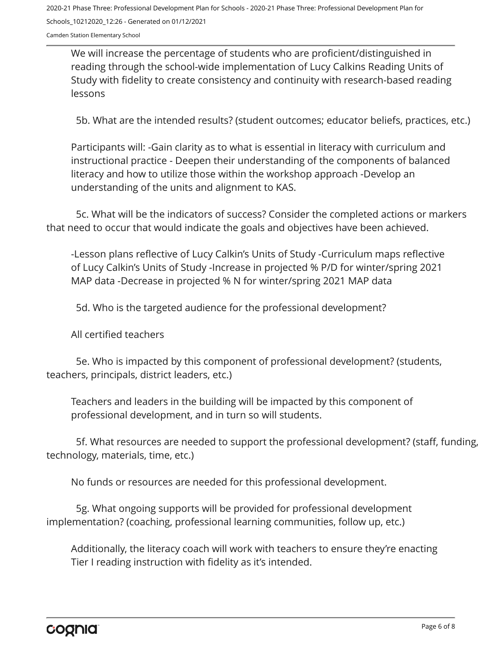Camden Station Elementary School

We will increase the percentage of students who are proficient/distinguished in reading through the school-wide implementation of Lucy Calkins Reading Units of Study with fidelity to create consistency and continuity with research-based reading lessons

5b. What are the intended results? (student outcomes; educator beliefs, practices, etc.)

Participants will: -Gain clarity as to what is essential in literacy with curriculum and instructional practice - Deepen their understanding of the components of balanced literacy and how to utilize those within the workshop approach -Develop an understanding of the units and alignment to KAS.

5c. What will be the indicators of success? Consider the completed actions or markers that need to occur that would indicate the goals and objectives have been achieved.

-Lesson plans reflective of Lucy Calkin's Units of Study -Curriculum maps reflective of Lucy Calkin's Units of Study -Increase in projected % P/D for winter/spring 2021 MAP data -Decrease in projected % N for winter/spring 2021 MAP data

5d. Who is the targeted audience for the professional development?

All certified teachers

5e. Who is impacted by this component of professional development? (students, teachers, principals, district leaders, etc.)

Teachers and leaders in the building will be impacted by this component of professional development, and in turn so will students.

5f. What resources are needed to support the professional development? (staff, funding, technology, materials, time, etc.)

No funds or resources are needed for this professional development.

5g. What ongoing supports will be provided for professional development implementation? (coaching, professional learning communities, follow up, etc.)

Additionally, the literacy coach will work with teachers to ensure they're enacting Tier I reading instruction with fidelity as it's intended.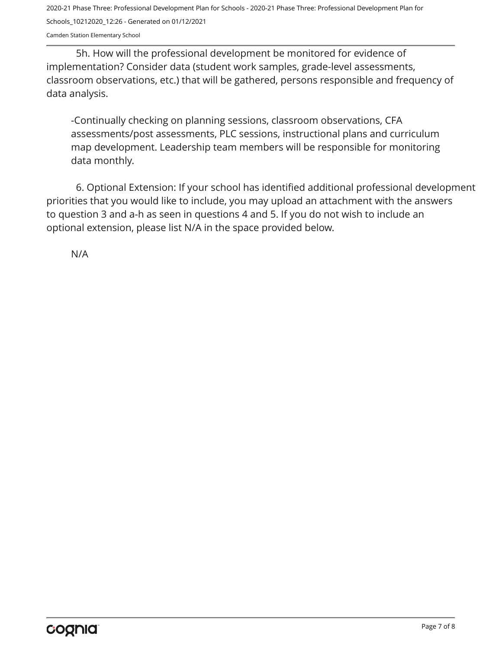Camden Station Elementary School

5h. How will the professional development be monitored for evidence of implementation? Consider data (student work samples, grade-level assessments, classroom observations, etc.) that will be gathered, persons responsible and frequency of data analysis.

-Continually checking on planning sessions, classroom observations, CFA assessments/post assessments, PLC sessions, instructional plans and curriculum map development. Leadership team members will be responsible for monitoring data monthly.

6. Optional Extension: If your school has identified additional professional development priorities that you would like to include, you may upload an attachment with the answers to question 3 and a-h as seen in questions 4 and 5. If you do not wish to include an optional extension, please list N/A in the space provided below.

N/A